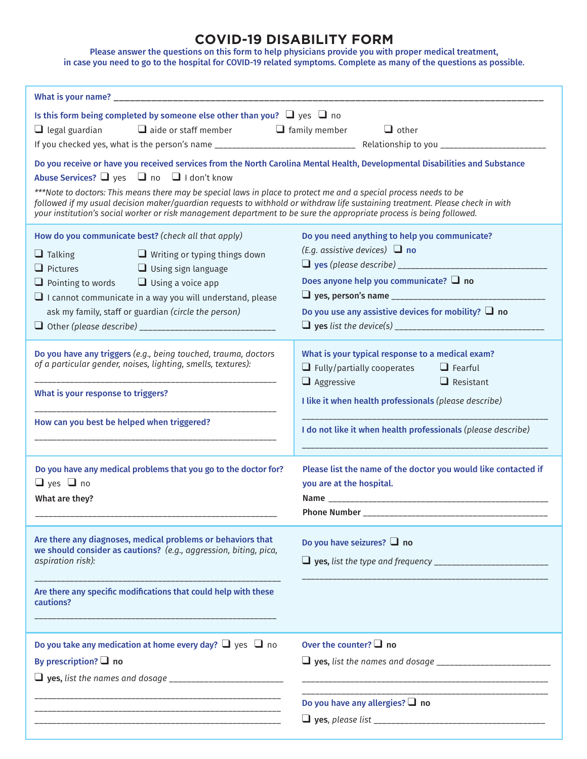## **COVID-19 DISABILITY FORM**

Please answer the questions on this form to help physicians provide you with proper medical treatment, in case you need to go to the hospital for COVID-19 related symptoms. Complete as many of the questions as possible.

| Is this form being completed by someone else other than you? $\Box$ yes $\Box$ no<br>$\Box$ legal guardian $\Box$ aide or staff member $\Box$ family member                                                                                                                                                                                                                                                                                                                                                                                             | $\Box$ other                                                                                                                                                                                                                                                           |
|---------------------------------------------------------------------------------------------------------------------------------------------------------------------------------------------------------------------------------------------------------------------------------------------------------------------------------------------------------------------------------------------------------------------------------------------------------------------------------------------------------------------------------------------------------|------------------------------------------------------------------------------------------------------------------------------------------------------------------------------------------------------------------------------------------------------------------------|
| Do you receive or have you received services from the North Carolina Mental Health, Developmental Disabilities and Substance<br>Abuse Services? U yes U no U I don't know<br>***Note to doctors: This means there may be special laws in place to protect me and a special process needs to be<br>followed if my usual decision maker/guardian requests to withhold or withdraw life sustaining treatment. Please check in with<br>your institution's social worker or risk management department to be sure the appropriate process is being followed. |                                                                                                                                                                                                                                                                        |
| How do you communicate best? (check all that apply)<br>$\Box$ Talking<br>$\Box$ Writing or typing things down<br>$\Box$ Pictures<br>$\Box$ Using sign language<br>$\Box$ Pointing to words $\Box$ Using a voice app<br>$\Box$ I cannot communicate in a way you will understand, please<br>ask my family, staff or guardian (circle the person)                                                                                                                                                                                                         | Do you need anything to help you communicate?<br>(E.g. assistive devices) $\Box$ no<br>Does anyone help you communicate? $\Box$ no<br>Do you use any assistive devices for mobility? $\Box$ no                                                                         |
| Do you have any triggers (e.g., being touched, trauma, doctors<br>of a particular gender, noises, lighting, smells, textures):<br>What is your response to triggers?<br>How can you best be helped when triggered?                                                                                                                                                                                                                                                                                                                                      | What is your typical response to a medical exam?<br>$\Box$ Fully/partially cooperates $\Box$ Fearful<br>$\Box$ Aggressive<br>$\Box$ Resistant<br>I like it when health professionals (please describe)<br>I do not like it when health professionals (please describe) |
| Do you have any medical problems that you go to the doctor for?<br>$\Box$ yes $\Box$ no<br>What are they?                                                                                                                                                                                                                                                                                                                                                                                                                                               | Please list the name of the doctor you would like contacted if<br>you are at the hospital.<br>Phone Number __                                                                                                                                                          |
| Are there any diagnoses, medical problems or behaviors that<br>we should consider as cautions? (e.g., aggression, biting, pica,<br>aspiration risk):<br>Are there any specific modifications that could help with these<br>cautions?                                                                                                                                                                                                                                                                                                                    | Do you have seizures? $\Box$ no                                                                                                                                                                                                                                        |
| Do you take any medication at home every day? $\Box$ yes $\Box$ no<br>By prescription? $\Box$ no                                                                                                                                                                                                                                                                                                                                                                                                                                                        | Over the counter? $\Box$ no<br><u> 1989 - Johann John Harry, mars and de la partie de la partie de la partie de la partie de la partie de la pa</u>                                                                                                                    |
|                                                                                                                                                                                                                                                                                                                                                                                                                                                                                                                                                         | Do you have any allergies? $\square$ no                                                                                                                                                                                                                                |